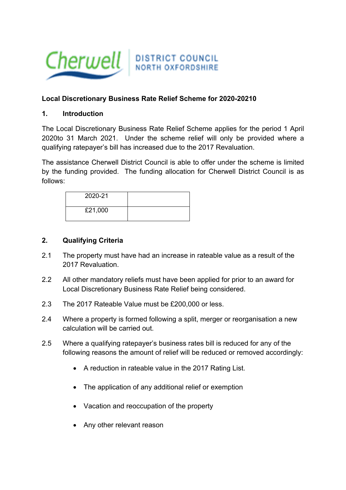

# **Local Discretionary Business Rate Relief Scheme for 2020-20210**

#### **1. Introduction**

The Local Discretionary Business Rate Relief Scheme applies for the period 1 April 2020to 31 March 2021. Under the scheme relief will only be provided where a qualifying ratepayer's bill has increased due to the 2017 Revaluation.

The assistance Cherwell District Council is able to offer under the scheme is limited by the funding provided. The funding allocation for Cherwell District Council is as follows:

| 2020-21 |  |
|---------|--|
| £21,000 |  |

#### **2. Qualifying Criteria**

- 2.1 The property must have had an increase in rateable value as a result of the 2017 Revaluation.
- 2.2 All other mandatory reliefs must have been applied for prior to an award for Local Discretionary Business Rate Relief being considered.
- 2.3 The 2017 Rateable Value must be £200,000 or less.
- 2.4 Where a property is formed following a split, merger or reorganisation a new calculation will be carried out.
- 2.5 Where a qualifying ratepayer's business rates bill is reduced for any of the following reasons the amount of relief will be reduced or removed accordingly:
	- A reduction in rateable value in the 2017 Rating List.
	- The application of any additional relief or exemption
	- Vacation and reoccupation of the property
	- Any other relevant reason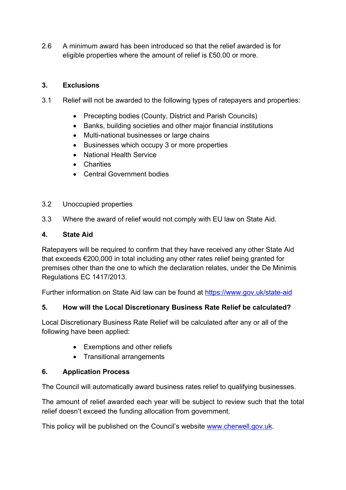2.6 A minimum award has been introduced so that the relief awarded is for eligible properties where the amount of relief is £50.00 or more.

# **3. Exclusions**

- 3.1 Relief will not be awarded to the following types of ratepayers and properties:
	- Precepting bodies (County, District and Parish Councils)
	- Banks, building societies and other major financial institutions
	- Multi-national businesses or large chains
	- Businesses which occupy 3 or more properties
	- National Health Service
	- Charities
	- Central Government bodies

#### 3.2 Unoccupied properties

3.3 Where the award of relief would not comply with EU law on State Aid.

#### **4. State Aid**

Ratepayers will be required to confirm that they have received any other State Aid that exceeds €200,000 in total including any other rates relief being granted for premises other than the one to which the declaration relates, under the De Minimis Regulations EC 1417/2013.

Further information on State Aid law can be found at <https://www.gov.uk/state-aid>

## **5. How will the Local Discretionary Business Rate Relief be calculated?**

Local Discretionary Business Rate Relief will be calculated after any or all of the following have been applied:

- Exemptions and other reliefs
- Transitional arrangements

## **6. Application Process**

The Council will automatically award business rates relief to qualifying businesses.

The amount of relief awarded each year will be subject to review such that the total relief doesn't exceed the funding allocation from government.

This policy will be published on the Council's website [www.cherwell.gov.uk](http://www.cherwell.gov.uk/).